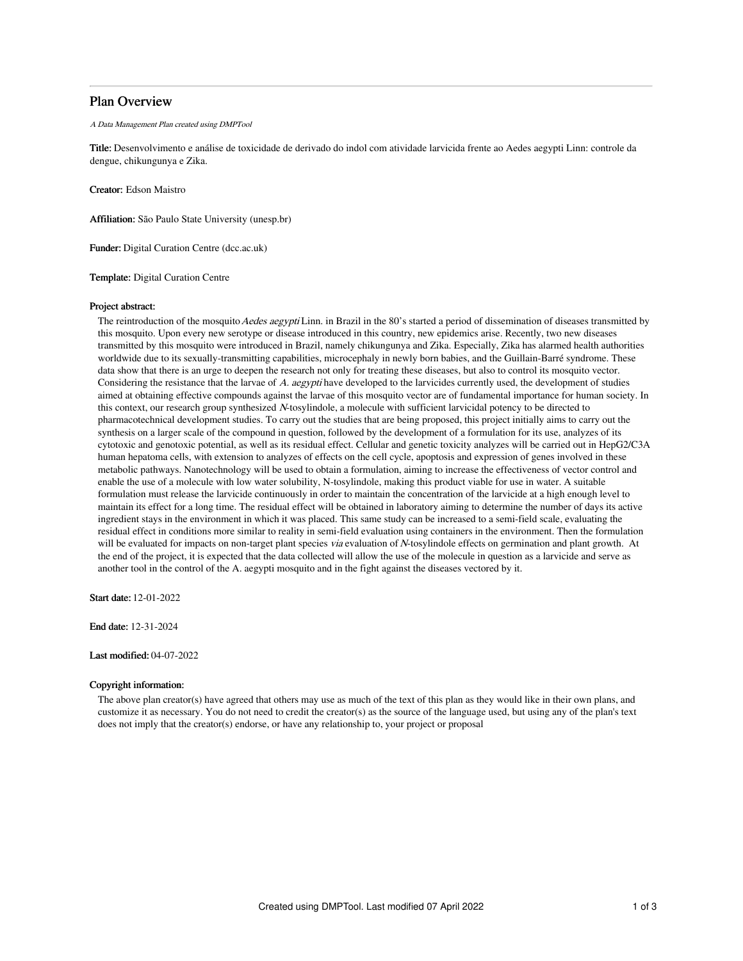# Plan Overview

#### A Data Management Plan created using DMPTool

Title: Desenvolvimento e análise de toxicidade de derivado do indol com atividade larvicida frente ao Aedes aegypti Linn: controle da dengue, chikungunya e Zika.

Creator: Edson Maistro

Affiliation: São Paulo State University (unesp.br)

Funder: Digital Curation Centre (dcc.ac.uk)

Template: Digital Curation Centre

# Project abstract:

The reintroduction of the mosquito Aedes aegypti Linn. in Brazil in the 80's started a period of dissemination of diseases transmitted by this mosquito. Upon every new serotype or disease introduced in this country, new epidemics arise. Recently, two new diseases transmitted by this mosquito were introduced in Brazil, namely chikungunya and Zika. Especially, Zika has alarmed health authorities worldwide due to its sexually-transmitting capabilities, microcephaly in newly born babies, and the Guillain-Barré syndrome. These data show that there is an urge to deepen the research not only for treating these diseases, but also to control its mosquito vector. Considering the resistance that the larvae of A. aegypti have developed to the larvicides currently used, the development of studies aimed at obtaining effective compounds against the larvae of this mosquito vector are of fundamental importance for human society. In this context, our research group synthesized <sup>N</sup>-tosylindole, a molecule with sufficient larvicidal potency to be directed to pharmacotechnical development studies. To carry out the studies that are being proposed, this project initially aims to carry out the synthesis on a larger scale of the compound in question, followed by the development of a formulation for its use, analyzes of its cytotoxic and genotoxic potential, as well as its residual effect. Cellular and genetic toxicity analyzes will be carried out in HepG2/C3A human hepatoma cells, with extension to analyzes of effects on the cell cycle, apoptosis and expression of genes involved in these metabolic pathways. Nanotechnology will be used to obtain a formulation, aiming to increase the effectiveness of vector control and enable the use of a molecule with low water solubility, N-tosylindole, making this product viable for use in water. A suitable formulation must release the larvicide continuously in order to maintain the concentration of the larvicide at a high enough level to maintain its effect for a long time. The residual effect will be obtained in laboratory aiming to determine the number of days its active ingredient stays in the environment in which it was placed. This same study can be increased to a semi-field scale, evaluating the residual effect in conditions more similar to reality in semi-field evaluation using containers in the environment. Then the formulation will be evaluated for impacts on non-target plant species via evaluation of N-tosylindole effects on germination and plant growth. At the end of the project, it is expected that the data collected will allow the use of the molecule in question as a larvicide and serve as another tool in the control of the A. aegypti mosquito and in the fight against the diseases vectored by it.

Start date: 12-01-2022

End date: 12-31-2024

# Last modified: 04-07-2022

#### Copyright information:

The above plan creator(s) have agreed that others may use as much of the text of this plan as they would like in their own plans, and customize it as necessary. You do not need to credit the creator(s) as the source of the language used, but using any of the plan's text does not imply that the creator(s) endorse, or have any relationship to, your project or proposal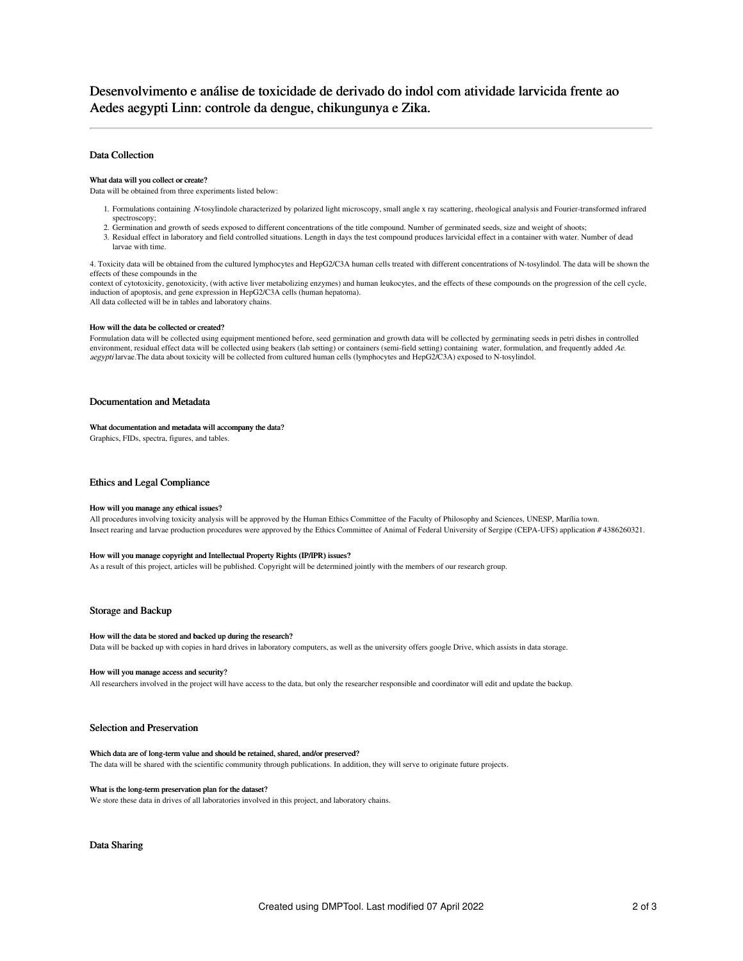# Desenvolvimento e análise de toxicidade de derivado do indol com atividade larvicida frente ao Aedes aegypti Linn: controle da dengue, chikungunya e Zika.

# Data Collection

### What data will you collect or create?

Data will be obtained from three experiments listed below:

- 1. Formulations containing <sup>N</sup>-tosylindole characterized by polarized light microscopy, small angle x ray scattering, rheological analysis and Fourier-transformed infrared spectroscopy;
- 2. Germination and growth of seeds exposed to different concentrations of the title compound. Number of germinated seeds, size and weight of shoots;
- 3. Residual effect in laboratory and field controlled situations. Length in days the test compound produces larvicidal effect in a container with water. Number of dead larvae with time.

4. Toxicity data will be obtained from the cultured lymphocytes and HepG2/C3A human cells treated with different concentrations of N-tosylindol. The data will be shown the effects of these compounds in the

context of cytotoxicity, genotoxicity, (with active liver metabolizing enzymes) and human leukocytes, and the effects of these compounds on the progression of the cell cycle, induction of apoptosis, and gene expression in HepG2/C3A cells (human hepatoma). All data collected will be in tables and laboratory chains.

#### How will the data be collected or created?

Formulation data will be collected using equipment mentioned before, seed germination and growth data will be collected by germinating seeds in petri dishes in controlled environment, residual effect data will be collected using beakers (lab setting) or containers (semi-field setting) containing water, formulation, and frequently added Ae. aegypti larvae.The data about toxicity will be collected from cultured human cells (lymphocytes and HepG2/C3A) exposed to N-tosylindol.

# Documentation and Metadata

## What documentation and metadata will accompany the data?

Graphics, FIDs, spectra, figures, and tables.

## Ethics and Legal Compliance

#### How will you manage any ethical issues?

All procedures involving toxicity analysis will be approved by the Human Ethics Committee of the Faculty of Philosophy and Sciences, UNESP, Marília town. Insect rearing and larvae production procedures were approved by the Ethics Committee of Animal of Federal University of Sergipe (CEPA-UFS) application # 4386260321.

## How will you manage copyright and Intellectual Property Rights (IP/IPR) issues?

As a result of this project, articles will be published. Copyright will be determined jointly with the members of our research group.

#### Storage and Backup

#### How will the data be stored and backed up during the research?

Data will be backed up with copies in hard drives in laboratory computers, as well as the university offers google Drive, which assists in data storage.

#### How will you manage access and security?

All researchers involved in the project will have access to the data, but only the researcher responsible and coordinator will edit and update the backup.

## Selection and Preservation

# Which data are of long-term value and should be retained, shared, and/or preserved?

The data will be shared with the scientific community through publications. In addition, they will serve to originate future projects.

#### What is the long-term preservation plan for the dataset?

We store these data in drives of all laboratories involved in this project, and laboratory chains.

Data Sharing